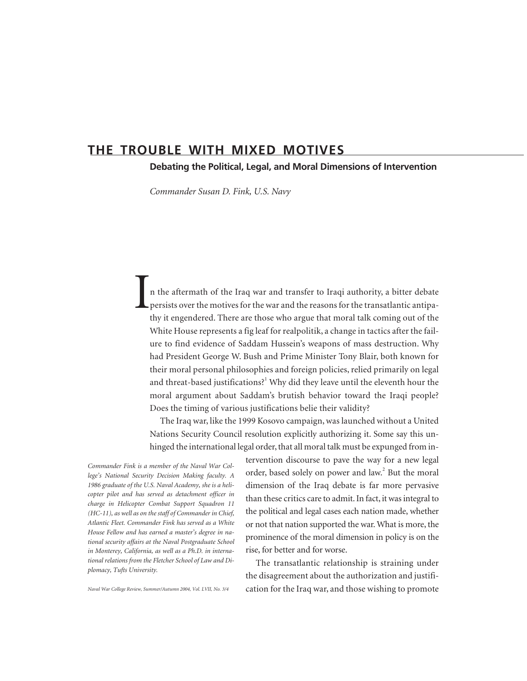# **THE TROUBLE WITH MIXED MOTIVES**

**Debating the Political, Legal, and Moral Dimensions of Intervention**

*Commander Susan D. Fink, U.S. Navy*

In the aftermath of the Iraq war and transfer to Iraqi authority, a bitter debate persists over the motives for the war and the reasons for the transatlantic antipathy it engendered. There are those who argue that moral talk coming out of the White House represents a fig leaf for realpolitik, a change in tactics after the failure to find evidence of Saddam Hussein's weapons of mass destruction. Why had President George W. Bush and Prime Minister Tony Blair, both known for their moral personal philosophies and foreign policies, relied primarily on legal and threat-based justifications?<sup>1</sup> Why did they leave until the eleventh hour the moral argument about Saddam's brutish behavior toward the Iraqi people? Does the timing of various justifications belie their validity?

The Iraq war, like the 1999 Kosovo campaign, was launched without a United Nations Security Council resolution explicitly authorizing it. Some say this unhinged the international legal order, that all moral talk must be expunged from in-

> tervention discourse to pave the way for a new legal order, based solely on power and law.<sup>2</sup> But the moral dimension of the Iraq debate is far more pervasive than these critics care to admit. In fact, it was integral to the political and legal cases each nation made, whether or not that nation supported the war. What is more, the

> cation for the Iraq war, and those wishing to promote

*Commander Fink is a member of the Naval War College's National Security Decision Making faculty. A 1986 graduate of the U.S. Naval Academy, she is a helicopter pilot and has served as detachment officer in charge in Helicopter Combat Support Squadron 11 (HC-11), as well as on the staff of Commander in Chief, Atlantic Fleet. Commander Fink has served as a White House Fellow and has earned a master's degree in national security affairs at the Naval Postgraduate School in Monterey, California, as well as a Ph.D. in international relations from the Fletcher School of Law and Diplomacy, Tufts University.*

prominence of the moral dimension in policy is on the rise, for better and for worse. The transatlantic relationship is straining under the disagreement about the authorization and justifi-

*Naval War College Review, Summer/Autumn 2004, Vol. LVII, No. 3/4*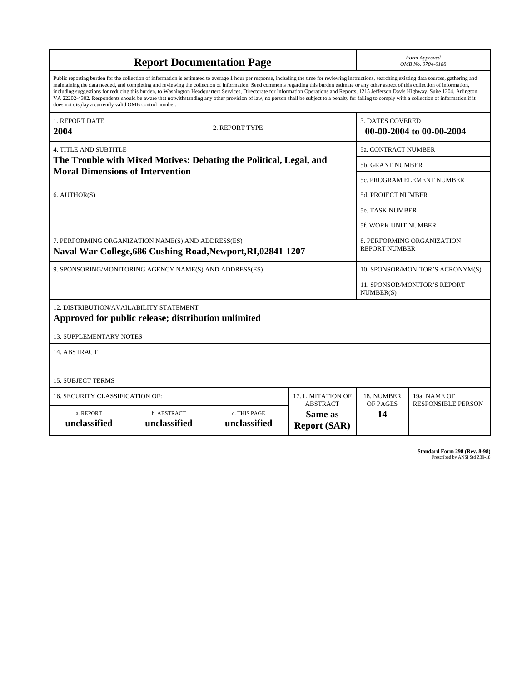| <b>Report Documentation Page</b>                                                                                                                                                                                                                                                                                                                                                                                                                                                                                                                                                                                                                                                                                                                                                                                                                                   |                             |                              |                                | Form Approved<br>OMB No. 0704-0188                  |                                           |
|--------------------------------------------------------------------------------------------------------------------------------------------------------------------------------------------------------------------------------------------------------------------------------------------------------------------------------------------------------------------------------------------------------------------------------------------------------------------------------------------------------------------------------------------------------------------------------------------------------------------------------------------------------------------------------------------------------------------------------------------------------------------------------------------------------------------------------------------------------------------|-----------------------------|------------------------------|--------------------------------|-----------------------------------------------------|-------------------------------------------|
| Public reporting burden for the collection of information is estimated to average 1 hour per response, including the time for reviewing instructions, searching existing data sources, gathering and<br>maintaining the data needed, and completing and reviewing the collection of information. Send comments regarding this burden estimate or any other aspect of this collection of information,<br>including suggestions for reducing this burden, to Washington Headquarters Services, Directorate for Information Operations and Reports, 1215 Jefferson Davis Highway, Suite 1204, Arlington<br>VA 22202-4302. Respondents should be aware that notwithstanding any other provision of law, no person shall be subject to a penalty for failing to comply with a collection of information if it<br>does not display a currently valid OMB control number. |                             |                              |                                |                                                     |                                           |
| 1. REPORT DATE<br>2004                                                                                                                                                                                                                                                                                                                                                                                                                                                                                                                                                                                                                                                                                                                                                                                                                                             | 2. REPORT TYPE              |                              |                                | <b>3. DATES COVERED</b><br>00-00-2004 to 00-00-2004 |                                           |
| <b>4. TITLE AND SUBTITLE</b>                                                                                                                                                                                                                                                                                                                                                                                                                                                                                                                                                                                                                                                                                                                                                                                                                                       |                             |                              |                                | 5a. CONTRACT NUMBER                                 |                                           |
| The Trouble with Mixed Motives: Debating the Political, Legal, and<br><b>Moral Dimensions of Intervention</b>                                                                                                                                                                                                                                                                                                                                                                                                                                                                                                                                                                                                                                                                                                                                                      |                             |                              |                                | <b>5b. GRANT NUMBER</b>                             |                                           |
|                                                                                                                                                                                                                                                                                                                                                                                                                                                                                                                                                                                                                                                                                                                                                                                                                                                                    |                             |                              |                                | <b>5c. PROGRAM ELEMENT NUMBER</b>                   |                                           |
| 6. AUTHOR(S)                                                                                                                                                                                                                                                                                                                                                                                                                                                                                                                                                                                                                                                                                                                                                                                                                                                       |                             |                              |                                | <b>5d. PROJECT NUMBER</b>                           |                                           |
|                                                                                                                                                                                                                                                                                                                                                                                                                                                                                                                                                                                                                                                                                                                                                                                                                                                                    |                             |                              |                                | 5e. TASK NUMBER                                     |                                           |
|                                                                                                                                                                                                                                                                                                                                                                                                                                                                                                                                                                                                                                                                                                                                                                                                                                                                    |                             |                              |                                | <b>5f. WORK UNIT NUMBER</b>                         |                                           |
| 7. PERFORMING ORGANIZATION NAME(S) AND ADDRESS(ES)<br>Naval War College, 686 Cushing Road, Newport, RI, 02841-1207                                                                                                                                                                                                                                                                                                                                                                                                                                                                                                                                                                                                                                                                                                                                                 |                             |                              |                                | 8. PERFORMING ORGANIZATION<br><b>REPORT NUMBER</b>  |                                           |
| 9. SPONSORING/MONITORING AGENCY NAME(S) AND ADDRESS(ES)                                                                                                                                                                                                                                                                                                                                                                                                                                                                                                                                                                                                                                                                                                                                                                                                            |                             |                              |                                | 10. SPONSOR/MONITOR'S ACRONYM(S)                    |                                           |
|                                                                                                                                                                                                                                                                                                                                                                                                                                                                                                                                                                                                                                                                                                                                                                                                                                                                    |                             |                              |                                | 11. SPONSOR/MONITOR'S REPORT<br>NUMBER(S)           |                                           |
| <b>12. DISTRIBUTION/AVAILABILITY STATEMENT</b><br>Approved for public release; distribution unlimited                                                                                                                                                                                                                                                                                                                                                                                                                                                                                                                                                                                                                                                                                                                                                              |                             |                              |                                |                                                     |                                           |
| <b>13. SUPPLEMENTARY NOTES</b>                                                                                                                                                                                                                                                                                                                                                                                                                                                                                                                                                                                                                                                                                                                                                                                                                                     |                             |                              |                                |                                                     |                                           |
| 14. ABSTRACT                                                                                                                                                                                                                                                                                                                                                                                                                                                                                                                                                                                                                                                                                                                                                                                                                                                       |                             |                              |                                |                                                     |                                           |
| <b>15. SUBJECT TERMS</b>                                                                                                                                                                                                                                                                                                                                                                                                                                                                                                                                                                                                                                                                                                                                                                                                                                           |                             |                              |                                |                                                     |                                           |
| 17. LIMITATION OF<br><b>16. SECURITY CLASSIFICATION OF:</b><br><b>ABSTRACT</b>                                                                                                                                                                                                                                                                                                                                                                                                                                                                                                                                                                                                                                                                                                                                                                                     |                             |                              |                                | 18. NUMBER<br>OF PAGES                              | 19a. NAME OF<br><b>RESPONSIBLE PERSON</b> |
| a. REPORT<br>unclassified                                                                                                                                                                                                                                                                                                                                                                                                                                                                                                                                                                                                                                                                                                                                                                                                                                          | b. ABSTRACT<br>unclassified | c. THIS PAGE<br>unclassified | Same as<br><b>Report (SAR)</b> | 14                                                  |                                           |

**Standard Form 298 (Rev. 8-98)**<br>Prescribed by ANSI Std Z39-18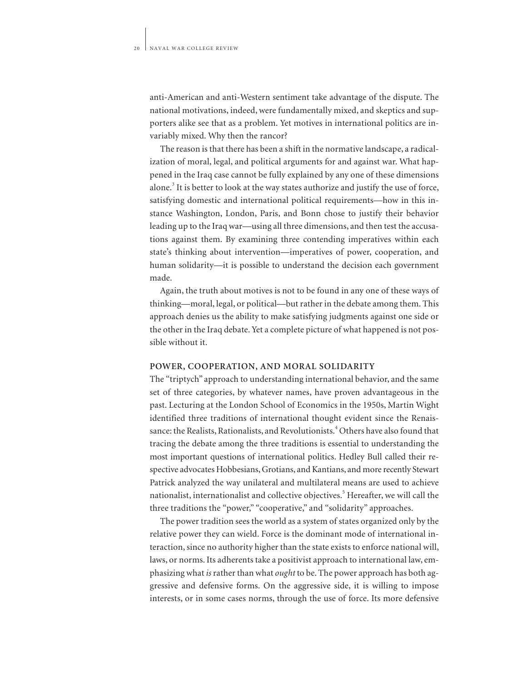anti-American and anti-Western sentiment take advantage of the dispute. The national motivations, indeed, were fundamentally mixed, and skeptics and supporters alike see that as a problem. Yet motives in international politics are invariably mixed. Why then the rancor?

The reason is that there has been a shift in the normative landscape, a radicalization of moral, legal, and political arguments for and against war. What happened in the Iraq case cannot be fully explained by any one of these dimensions alone.<sup>3</sup> It is better to look at the way states authorize and justify the use of force, satisfying domestic and international political requirements—how in this instance Washington, London, Paris, and Bonn chose to justify their behavior leading up to the Iraq war—using all three dimensions, and then test the accusations against them. By examining three contending imperatives within each state's thinking about intervention—imperatives of power, cooperation, and human solidarity—it is possible to understand the decision each government made.

Again, the truth about motives is not to be found in any one of these ways of thinking—moral, legal, or political—but rather in the debate among them. This approach denies us the ability to make satisfying judgments against one side or the other in the Iraq debate. Yet a complete picture of what happened is not possible without it.

## **POWER, COOPERATION, AND MORAL SOLIDARITY**

The "triptych" approach to understanding international behavior, and the same set of three categories, by whatever names, have proven advantageous in the past. Lecturing at the London School of Economics in the 1950s, Martin Wight identified three traditions of international thought evident since the Renaissance: the Realists, Rationalists, and Revolutionists.<sup>4</sup> Others have also found that tracing the debate among the three traditions is essential to understanding the most important questions of international politics. Hedley Bull called their respective advocates Hobbesians, Grotians, and Kantians, and more recently Stewart Patrick analyzed the way unilateral and multilateral means are used to achieve nationalist, internationalist and collective objectives.<sup>5</sup> Hereafter, we will call the three traditions the "power," "cooperative," and "solidarity" approaches.

The power tradition sees the world as a system of states organized only by the relative power they can wield. Force is the dominant mode of international interaction, since no authority higher than the state exists to enforce national will, laws, or norms. Its adherents take a positivist approach to international law, emphasizing what *is*rather than what *ought* to be. The power approach has both aggressive and defensive forms. On the aggressive side, it is willing to impose interests, or in some cases norms, through the use of force. Its more defensive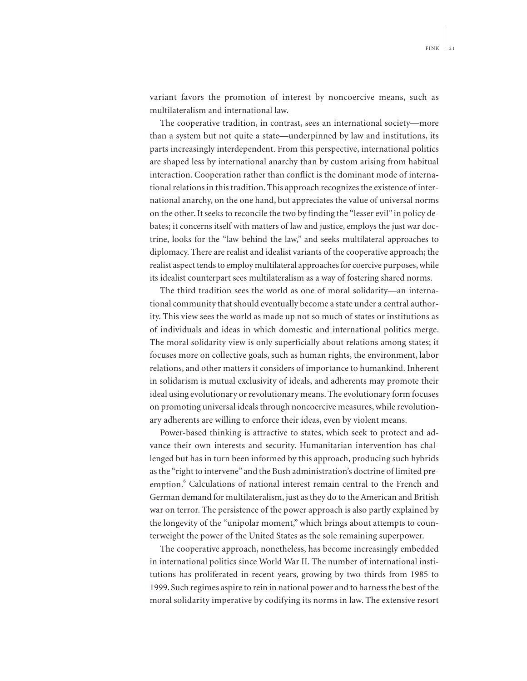variant favors the promotion of interest by noncoercive means, such as multilateralism and international law.

The cooperative tradition, in contrast, sees an international society—more than a system but not quite a state—underpinned by law and institutions, its parts increasingly interdependent. From this perspective, international politics are shaped less by international anarchy than by custom arising from habitual interaction. Cooperation rather than conflict is the dominant mode of international relations in this tradition. This approach recognizes the existence of international anarchy, on the one hand, but appreciates the value of universal norms on the other. It seeks to reconcile the two by finding the "lesser evil" in policy debates; it concerns itself with matters of law and justice, employs the just war doctrine, looks for the "law behind the law," and seeks multilateral approaches to diplomacy. There are realist and idealist variants of the cooperative approach; the realist aspect tends to employ multilateral approaches for coercive purposes, while its idealist counterpart sees multilateralism as a way of fostering shared norms.

The third tradition sees the world as one of moral solidarity—an international community that should eventually become a state under a central authority. This view sees the world as made up not so much of states or institutions as of individuals and ideas in which domestic and international politics merge. The moral solidarity view is only superficially about relations among states; it focuses more on collective goals, such as human rights, the environment, labor relations, and other matters it considers of importance to humankind. Inherent in solidarism is mutual exclusivity of ideals, and adherents may promote their ideal using evolutionary or revolutionary means. The evolutionary form focuses on promoting universal ideals through noncoercive measures, while revolutionary adherents are willing to enforce their ideas, even by violent means.

Power-based thinking is attractive to states, which seek to protect and advance their own interests and security. Humanitarian intervention has challenged but has in turn been informed by this approach, producing such hybrids as the "right to intervene" and the Bush administration's doctrine of limited preemption.<sup>6</sup> Calculations of national interest remain central to the French and German demand for multilateralism, just as they do to the American and British war on terror. The persistence of the power approach is also partly explained by the longevity of the "unipolar moment," which brings about attempts to counterweight the power of the United States as the sole remaining superpower.

The cooperative approach, nonetheless, has become increasingly embedded in international politics since World War II. The number of international institutions has proliferated in recent years, growing by two-thirds from 1985 to 1999. Such regimes aspire to rein in national power and to harness the best of the moral solidarity imperative by codifying its norms in law. The extensive resort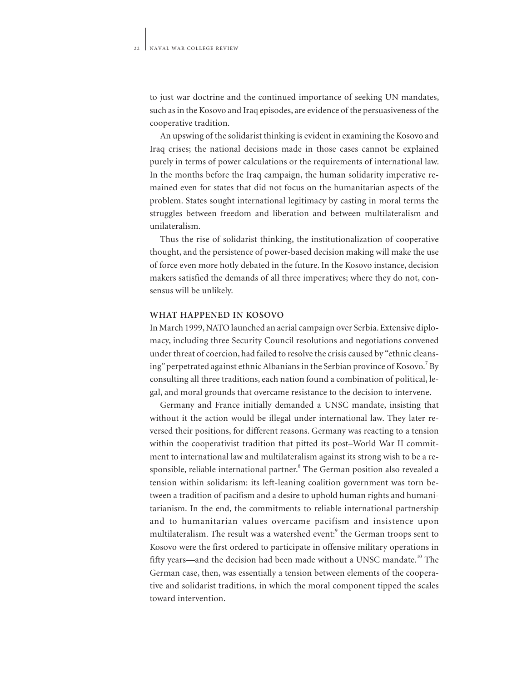to just war doctrine and the continued importance of seeking UN mandates, such as in the Kosovo and Iraq episodes, are evidence of the persuasiveness of the cooperative tradition.

An upswing of the solidarist thinking is evident in examining the Kosovo and Iraq crises; the national decisions made in those cases cannot be explained purely in terms of power calculations or the requirements of international law. In the months before the Iraq campaign, the human solidarity imperative remained even for states that did not focus on the humanitarian aspects of the problem. States sought international legitimacy by casting in moral terms the struggles between freedom and liberation and between multilateralism and unilateralism.

Thus the rise of solidarist thinking, the institutionalization of cooperative thought, and the persistence of power-based decision making will make the use of force even more hotly debated in the future. In the Kosovo instance, decision makers satisfied the demands of all three imperatives; where they do not, consensus will be unlikely.

#### **WHAT HAPPENED IN KOSOVO**

In March 1999, NATO launched an aerial campaign over Serbia. Extensive diplomacy, including three Security Council resolutions and negotiations convened under threat of coercion, had failed to resolve the crisis caused by "ethnic cleansing" perpetrated against ethnic Albanians in the Serbian province of Kosovo.<sup>7</sup> By consulting all three traditions, each nation found a combination of political, legal, and moral grounds that overcame resistance to the decision to intervene.

Germany and France initially demanded a UNSC mandate, insisting that without it the action would be illegal under international law. They later reversed their positions, for different reasons. Germany was reacting to a tension within the cooperativist tradition that pitted its post–World War II commitment to international law and multilateralism against its strong wish to be a responsible, reliable international partner.<sup>8</sup> The German position also revealed a tension within solidarism: its left-leaning coalition government was torn between a tradition of pacifism and a desire to uphold human rights and humanitarianism. In the end, the commitments to reliable international partnership and to humanitarian values overcame pacifism and insistence upon multilateralism. The result was a watershed event:<sup>9</sup> the German troops sent to Kosovo were the first ordered to participate in offensive military operations in fifty years—and the decision had been made without a UNSC mandate.<sup>10</sup> The German case, then, was essentially a tension between elements of the cooperative and solidarist traditions, in which the moral component tipped the scales toward intervention.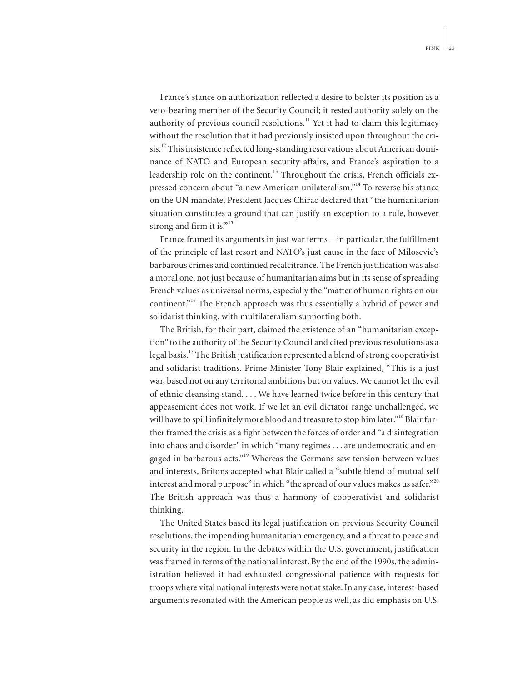France's stance on authorization reflected a desire to bolster its position as a veto-bearing member of the Security Council; it rested authority solely on the authority of previous council resolutions.<sup>11</sup> Yet it had to claim this legitimacy without the resolution that it had previously insisted upon throughout the crisis.<sup>12</sup> This insistence reflected long-standing reservations about American dominance of NATO and European security affairs, and France's aspiration to a leadership role on the continent.<sup>13</sup> Throughout the crisis, French officials expressed concern about "a new American unilateralism."<sup>14</sup> To reverse his stance on the UN mandate, President Jacques Chirac declared that "the humanitarian situation constitutes a ground that can justify an exception to a rule, however strong and firm it is."<sup>15</sup>

France framed its arguments in just war terms—in particular, the fulfillment of the principle of last resort and NATO's just cause in the face of Milosevic's barbarous crimes and continued recalcitrance. The French justification was also a moral one, not just because of humanitarian aims but in its sense of spreading French values as universal norms, especially the "matter of human rights on our continent."<sup>16</sup> The French approach was thus essentially a hybrid of power and solidarist thinking, with multilateralism supporting both.

The British, for their part, claimed the existence of an "humanitarian exception" to the authority of the Security Council and cited previous resolutions as a legal basis.<sup>17</sup> The British justification represented a blend of strong cooperativist and solidarist traditions. Prime Minister Tony Blair explained, "This is a just war, based not on any territorial ambitions but on values. We cannot let the evil of ethnic cleansing stand. . . . We have learned twice before in this century that appeasement does not work. If we let an evil dictator range unchallenged, we will have to spill infinitely more blood and treasure to stop him later."<sup>18</sup> Blair further framed the crisis as a fight between the forces of order and "a disintegration into chaos and disorder" in which "many regimes . . . are undemocratic and engaged in barbarous acts."<sup>19</sup> Whereas the Germans saw tension between values and interests, Britons accepted what Blair called a "subtle blend of mutual self interest and moral purpose" in which "the spread of our values makes us safer."<sup>20</sup> The British approach was thus a harmony of cooperativist and solidarist thinking.

The United States based its legal justification on previous Security Council resolutions, the impending humanitarian emergency, and a threat to peace and security in the region. In the debates within the U.S. government, justification was framed in terms of the national interest. By the end of the 1990s, the administration believed it had exhausted congressional patience with requests for troops where vital national interests were not at stake. In any case, interest-based arguments resonated with the American people as well, as did emphasis on U.S.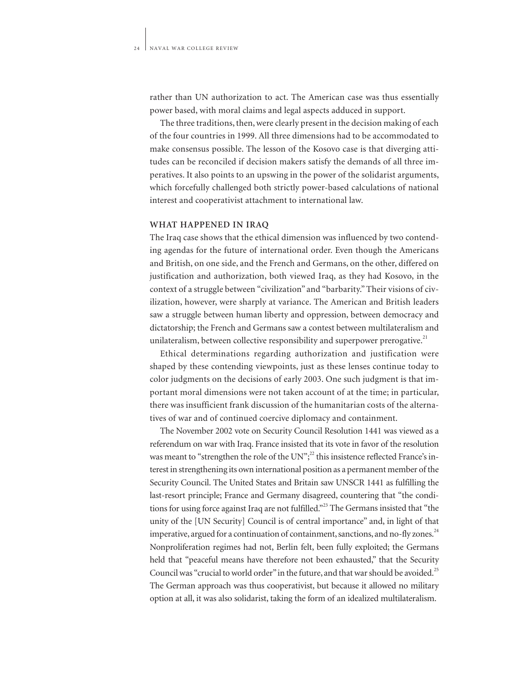rather than UN authorization to act. The American case was thus essentially power based, with moral claims and legal aspects adduced in support.

The three traditions, then, were clearly present in the decision making of each of the four countries in 1999. All three dimensions had to be accommodated to make consensus possible. The lesson of the Kosovo case is that diverging attitudes can be reconciled if decision makers satisfy the demands of all three imperatives. It also points to an upswing in the power of the solidarist arguments, which forcefully challenged both strictly power-based calculations of national interest and cooperativist attachment to international law.

### **WHAT HAPPENED IN IRAQ**

The Iraq case shows that the ethical dimension was influenced by two contending agendas for the future of international order. Even though the Americans and British, on one side, and the French and Germans, on the other, differed on justification and authorization, both viewed Iraq, as they had Kosovo, in the context of a struggle between "civilization" and "barbarity." Their visions of civilization, however, were sharply at variance. The American and British leaders saw a struggle between human liberty and oppression, between democracy and dictatorship; the French and Germans saw a contest between multilateralism and unilateralism, between collective responsibility and superpower prerogative.<sup>21</sup>

Ethical determinations regarding authorization and justification were shaped by these contending viewpoints, just as these lenses continue today to color judgments on the decisions of early 2003. One such judgment is that important moral dimensions were not taken account of at the time; in particular, there was insufficient frank discussion of the humanitarian costs of the alternatives of war and of continued coercive diplomacy and containment.

The November 2002 vote on Security Council Resolution 1441 was viewed as a referendum on war with Iraq. France insisted that its vote in favor of the resolution was meant to "strengthen the role of the UN"; $^{2}$  this insistence reflected France's interest in strengthening its own international position as a permanent member of the Security Council. The United States and Britain saw UNSCR 1441 as fulfilling the last-resort principle; France and Germany disagreed, countering that "the conditions for using force against Iraq are not fulfilled."<sup>23</sup> The Germans insisted that "the unity of the [UN Security] Council is of central importance" and, in light of that imperative, argued for a continuation of containment, sanctions, and no-fly zones.<sup>24</sup> Nonproliferation regimes had not, Berlin felt, been fully exploited; the Germans held that "peaceful means have therefore not been exhausted," that the Security Council was "crucial to world order" in the future, and that war should be avoided.<sup>25</sup> The German approach was thus cooperativist, but because it allowed no military option at all, it was also solidarist, taking the form of an idealized multilateralism.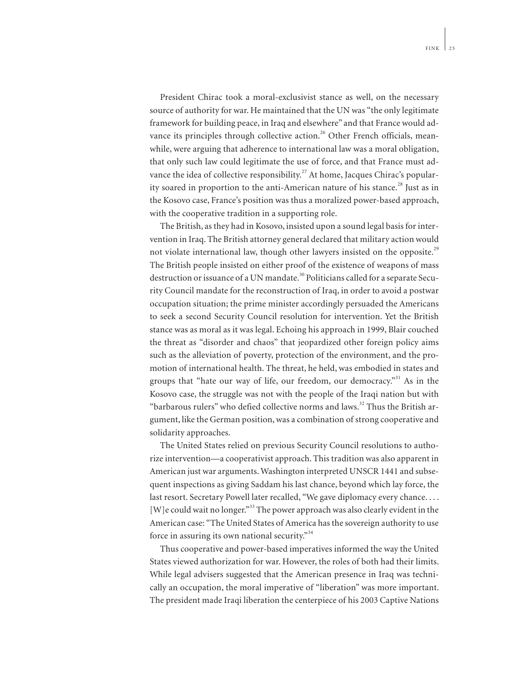President Chirac took a moral-exclusivist stance as well, on the necessary source of authority for war. He maintained that the UN was "the only legitimate framework for building peace, in Iraq and elsewhere" and that France would advance its principles through collective action.<sup>26</sup> Other French officials, meanwhile, were arguing that adherence to international law was a moral obligation, that only such law could legitimate the use of force, and that France must advance the idea of collective responsibility.<sup>27</sup> At home, Jacques Chirac's popularity soared in proportion to the anti-American nature of his stance.<sup>28</sup> Just as in the Kosovo case, France's position was thus a moralized power-based approach, with the cooperative tradition in a supporting role.

The British, as they had in Kosovo, insisted upon a sound legal basis for intervention in Iraq. The British attorney general declared that military action would not violate international law, though other lawyers insisted on the opposite.<sup>29</sup> The British people insisted on either proof of the existence of weapons of mass destruction or issuance of a UN mandate.<sup>30</sup> Politicians called for a separate Security Council mandate for the reconstruction of Iraq, in order to avoid a postwar occupation situation; the prime minister accordingly persuaded the Americans to seek a second Security Council resolution for intervention. Yet the British stance was as moral as it was legal. Echoing his approach in 1999, Blair couched the threat as "disorder and chaos" that jeopardized other foreign policy aims such as the alleviation of poverty, protection of the environment, and the promotion of international health. The threat, he held, was embodied in states and groups that "hate our way of life, our freedom, our democracy."<sup>31</sup> As in the Kosovo case, the struggle was not with the people of the Iraqi nation but with "barbarous rulers" who defied collective norms and laws.<sup>32</sup> Thus the British argument, like the German position, was a combination of strong cooperative and solidarity approaches.

The United States relied on previous Security Council resolutions to authorize intervention—a cooperativist approach. This tradition was also apparent in American just war arguments. Washington interpreted UNSCR 1441 and subsequent inspections as giving Saddam his last chance, beyond which lay force, the last resort. Secretary Powell later recalled, "We gave diplomacy every chance.... [W]e could wait no longer."<sup>33</sup> The power approach was also clearly evident in the American case: "The United States of America has the sovereign authority to use force in assuring its own national security."<sup>34</sup>

Thus cooperative and power-based imperatives informed the way the United States viewed authorization for war. However, the roles of both had their limits. While legal advisers suggested that the American presence in Iraq was technically an occupation, the moral imperative of "liberation" was more important. The president made Iraqi liberation the centerpiece of his 2003 Captive Nations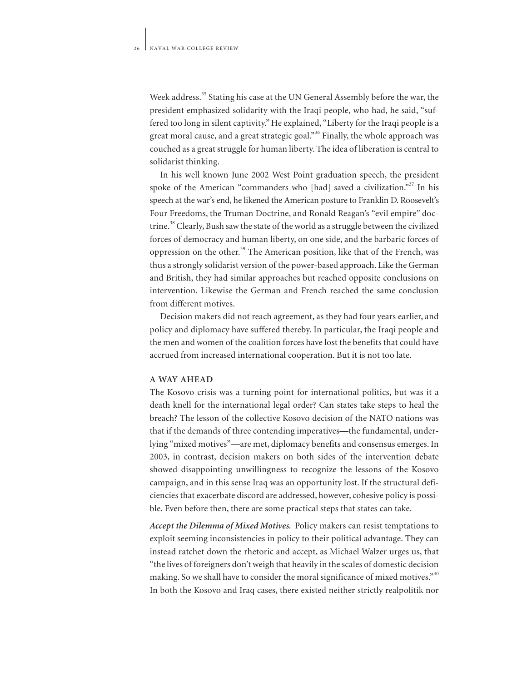Week address.<sup>35</sup> Stating his case at the UN General Assembly before the war, the president emphasized solidarity with the Iraqi people, who had, he said, "suffered too long in silent captivity." He explained, "Liberty for the Iraqi people is a great moral cause, and a great strategic goal."<sup>36</sup> Finally, the whole approach was couched as a great struggle for human liberty. The idea of liberation is central to solidarist thinking.

In his well known June 2002 West Point graduation speech, the president spoke of the American "commanders who [had] saved a civilization."<sup>37</sup> In his speech at the war's end, he likened the American posture to Franklin D. Roosevelt's Four Freedoms, the Truman Doctrine, and Ronald Reagan's "evil empire" doctrine.<sup>38</sup> Clearly, Bush saw the state of the world as a struggle between the civilized forces of democracy and human liberty, on one side, and the barbaric forces of oppression on the other.<sup>39</sup> The American position, like that of the French, was thus a strongly solidarist version of the power-based approach. Like the German and British, they had similar approaches but reached opposite conclusions on intervention. Likewise the German and French reached the same conclusion from different motives.

Decision makers did not reach agreement, as they had four years earlier, and policy and diplomacy have suffered thereby. In particular, the Iraqi people and the men and women of the coalition forces have lost the benefits that could have accrued from increased international cooperation. But it is not too late.

### **A WAY AHEAD**

The Kosovo crisis was a turning point for international politics, but was it a death knell for the international legal order? Can states take steps to heal the breach? The lesson of the collective Kosovo decision of the NATO nations was that if the demands of three contending imperatives—the fundamental, underlying "mixed motives"—are met, diplomacy benefits and consensus emerges. In 2003, in contrast, decision makers on both sides of the intervention debate showed disappointing unwillingness to recognize the lessons of the Kosovo campaign, and in this sense Iraq was an opportunity lost. If the structural deficiencies that exacerbate discord are addressed, however, cohesive policy is possible. Even before then, there are some practical steps that states can take.

*Accept the Dilemma of Mixed Motives.* Policy makers can resist temptations to exploit seeming inconsistencies in policy to their political advantage. They can instead ratchet down the rhetoric and accept, as Michael Walzer urges us, that "the lives of foreigners don't weigh that heavily in the scales of domestic decision making. So we shall have to consider the moral significance of mixed motives."<sup>40</sup> In both the Kosovo and Iraq cases, there existed neither strictly realpolitik nor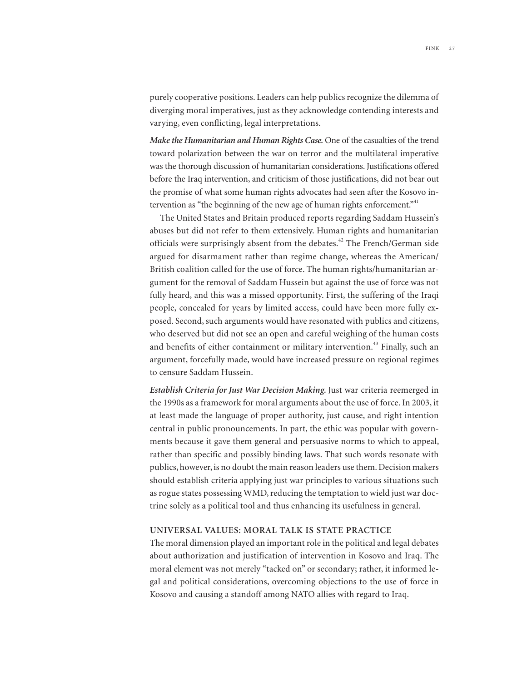purely cooperative positions. Leaders can help publics recognize the dilemma of diverging moral imperatives, just as they acknowledge contending interests and varying, even conflicting, legal interpretations.

*Make the Humanitarian and Human Rights Case.* One of the casualties of the trend toward polarization between the war on terror and the multilateral imperative was the thorough discussion of humanitarian considerations. Justifications offered before the Iraq intervention, and criticism of those justifications, did not bear out the promise of what some human rights advocates had seen after the Kosovo intervention as "the beginning of the new age of human rights enforcement."

The United States and Britain produced reports regarding Saddam Hussein's abuses but did not refer to them extensively. Human rights and humanitarian officials were surprisingly absent from the debates.<sup>42</sup> The French/German side argued for disarmament rather than regime change, whereas the American/ British coalition called for the use of force. The human rights/humanitarian argument for the removal of Saddam Hussein but against the use of force was not fully heard, and this was a missed opportunity. First, the suffering of the Iraqi people, concealed for years by limited access, could have been more fully exposed. Second, such arguments would have resonated with publics and citizens, who deserved but did not see an open and careful weighing of the human costs and benefits of either containment or military intervention.<sup>43</sup> Finally, such an argument, forcefully made, would have increased pressure on regional regimes to censure Saddam Hussein.

*Establish Criteria for Just War Decision Making.* Just war criteria reemerged in the 1990s as a framework for moral arguments about the use of force. In 2003, it at least made the language of proper authority, just cause, and right intention central in public pronouncements. In part, the ethic was popular with governments because it gave them general and persuasive norms to which to appeal, rather than specific and possibly binding laws. That such words resonate with publics, however, is no doubt the main reason leaders use them. Decision makers should establish criteria applying just war principles to various situations such as rogue states possessing WMD, reducing the temptation to wield just war doctrine solely as a political tool and thus enhancing its usefulness in general.

## **UNIVERSAL VALUES: MORAL TALK IS STATE PRACTICE**

The moral dimension played an important role in the political and legal debates about authorization and justification of intervention in Kosovo and Iraq. The moral element was not merely "tacked on" or secondary; rather, it informed legal and political considerations, overcoming objections to the use of force in Kosovo and causing a standoff among NATO allies with regard to Iraq.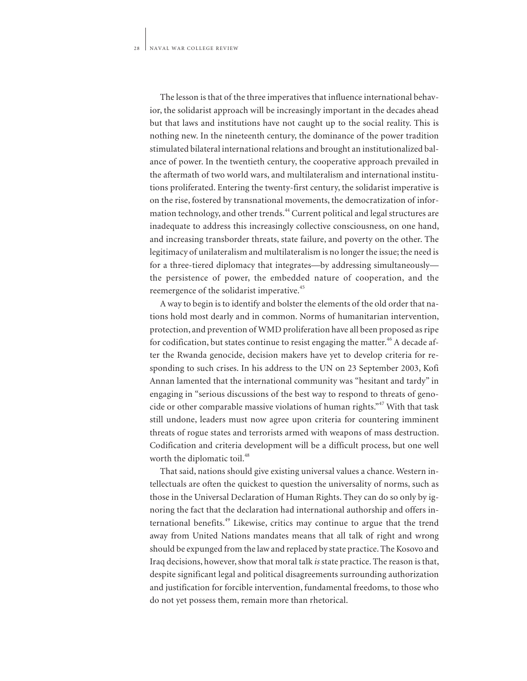The lesson is that of the three imperatives that influence international behavior, the solidarist approach will be increasingly important in the decades ahead but that laws and institutions have not caught up to the social reality. This is nothing new. In the nineteenth century, the dominance of the power tradition stimulated bilateral international relations and brought an institutionalized balance of power. In the twentieth century, the cooperative approach prevailed in the aftermath of two world wars, and multilateralism and international institutions proliferated. Entering the twenty-first century, the solidarist imperative is on the rise, fostered by transnational movements, the democratization of information technology, and other trends.<sup>44</sup> Current political and legal structures are inadequate to address this increasingly collective consciousness, on one hand, and increasing transborder threats, state failure, and poverty on the other. The legitimacy of unilateralism and multilateralism is no longer the issue; the need is for a three-tiered diplomacy that integrates—by addressing simultaneously the persistence of power, the embedded nature of cooperation, and the reemergence of the solidarist imperative.<sup>45</sup>

A way to begin is to identify and bolster the elements of the old order that nations hold most dearly and in common. Norms of humanitarian intervention, protection, and prevention of WMD proliferation have all been proposed as ripe for codification, but states continue to resist engaging the matter.<sup>46</sup> A decade after the Rwanda genocide, decision makers have yet to develop criteria for responding to such crises. In his address to the UN on 23 September 2003, Kofi Annan lamented that the international community was "hesitant and tardy" in engaging in "serious discussions of the best way to respond to threats of genocide or other comparable massive violations of human rights."<sup>47</sup> With that task still undone, leaders must now agree upon criteria for countering imminent threats of rogue states and terrorists armed with weapons of mass destruction. Codification and criteria development will be a difficult process, but one well worth the diplomatic toil.<sup>48</sup>

That said, nations should give existing universal values a chance. Western intellectuals are often the quickest to question the universality of norms, such as those in the Universal Declaration of Human Rights. They can do so only by ignoring the fact that the declaration had international authorship and offers international benefits.<sup>49</sup> Likewise, critics may continue to argue that the trend away from United Nations mandates means that all talk of right and wrong should be expunged from the law and replaced by state practice. The Kosovo and Iraq decisions, however, show that moral talk *is* state practice. The reason is that, despite significant legal and political disagreements surrounding authorization and justification for forcible intervention, fundamental freedoms, to those who do not yet possess them, remain more than rhetorical.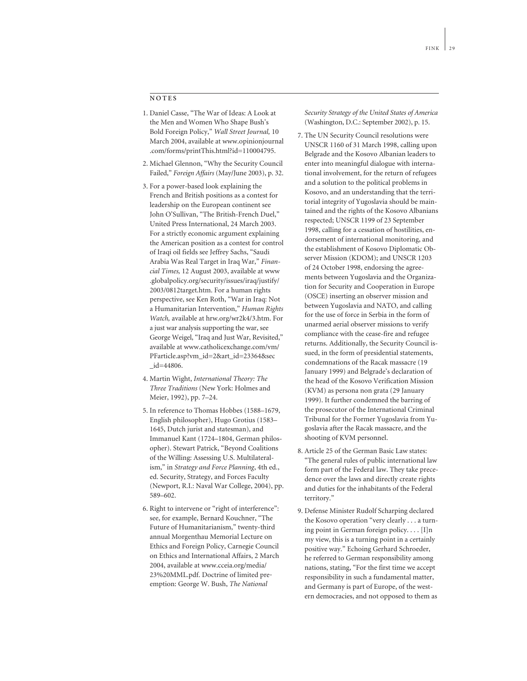### **NOTES**

- 1. Daniel Casse, "The War of Ideas: A Look at the Men and Women Who Shape Bush's Bold Foreign Policy," *Wall Street Journal,* 10 March 2004, available at www.opinionjournal .com/forms/printThis.html?id=110004795.
- 2. Michael Glennon, "Why the Security Council Failed," *Foreign Affairs* (May/June 2003), p. 32.
- 3. For a power-based look explaining the French and British positions as a contest for leadership on the European continent see John O'Sullivan, "The British-French Duel," United Press International, 24 March 2003. For a strictly economic argument explaining the American position as a contest for control of Iraqi oil fields see Jeffrey Sachs, "Saudi Arabia Was Real Target in Iraq War," *Financial Times,* 12 August 2003, available at www .globalpolicy.org/security/issues/iraq/justify/ 2003/0812target.htm. For a human rights perspective, see Ken Roth, "War in Iraq: Not a Humanitarian Intervention," *Human Rights Watch,* available at hrw.org/wr2k4/3.htm. For a just war analysis supporting the war, see George Weigel, "Iraq and Just War, Revisited," available at www.catholicexchange.com/vm/ PFarticle.asp?vm\_id=2&art\_id=23364&sec \_id=44806.
- 4. Martin Wight, *International Theory: The Three Traditions* (New York: Holmes and Meier, 1992), pp. 7–24.
- 5. In reference to Thomas Hobbes (1588–1679, English philosopher), Hugo Grotius (1583– 1645, Dutch jurist and statesman), and Immanuel Kant (1724–1804, German philosopher). Stewart Patrick, "Beyond Coalitions of the Willing: Assessing U.S. Multilateralism," in *Strategy and Force Planning*, 4th ed., ed. Security, Strategy, and Forces Faculty (Newport, R.I.: Naval War College, 2004), pp. 589–602.
- 6. Right to intervene or "right of interference": see, for example, Bernard Kouchner, "The Future of Humanitarianism," twenty-third annual Morgenthau Memorial Lecture on Ethics and Foreign Policy, Carnegie Council on Ethics and International Affairs, 2 March 2004, available at www.cceia.org/media/ 23%20MML.pdf. Doctrine of limited preemption: George W. Bush, *The National*

*Security Strategy of the United States of America* (Washington, D.C.: September 2002), p. 15.

- 7. The UN Security Council resolutions were UNSCR 1160 of 31 March 1998, calling upon Belgrade and the Kosovo Albanian leaders to enter into meaningful dialogue with international involvement, for the return of refugees and a solution to the political problems in Kosovo, and an understanding that the territorial integrity of Yugoslavia should be maintained and the rights of the Kosovo Albanians respected; UNSCR 1199 of 23 September 1998, calling for a cessation of hostilities, endorsement of international monitoring, and the establishment of Kosovo Diplomatic Observer Mission (KDOM); and UNSCR 1203 of 24 October 1998, endorsing the agreements between Yugoslavia and the Organization for Security and Cooperation in Europe (OSCE) inserting an observer mission and between Yugoslavia and NATO, and calling for the use of force in Serbia in the form of unarmed aerial observer missions to verify compliance with the cease-fire and refugee returns. Additionally, the Security Council issued, in the form of presidential statements, condemnations of the Racak massacre (19 January 1999) and Belgrade's declaration of the head of the Kosovo Verification Mission (KVM) as persona non grata (29 January 1999). It further condemned the barring of the prosecutor of the International Criminal Tribunal for the Former Yugoslavia from Yugoslavia after the Racak massacre, and the shooting of KVM personnel.
- 8. Article 25 of the German Basic Law states: "The general rules of public international law form part of the Federal law. They take precedence over the laws and directly create rights and duties for the inhabitants of the Federal territory."
- 9. Defense Minister Rudolf Scharping declared the Kosovo operation "very clearly . . . a turning point in German foreign policy. . . . [I]n my view, this is a turning point in a certainly positive way." Echoing Gerhard Schroeder, he referred to German responsibility among nations, stating, "For the first time we accept responsibility in such a fundamental matter, and Germany is part of Europe, of the western democracies, and not opposed to them as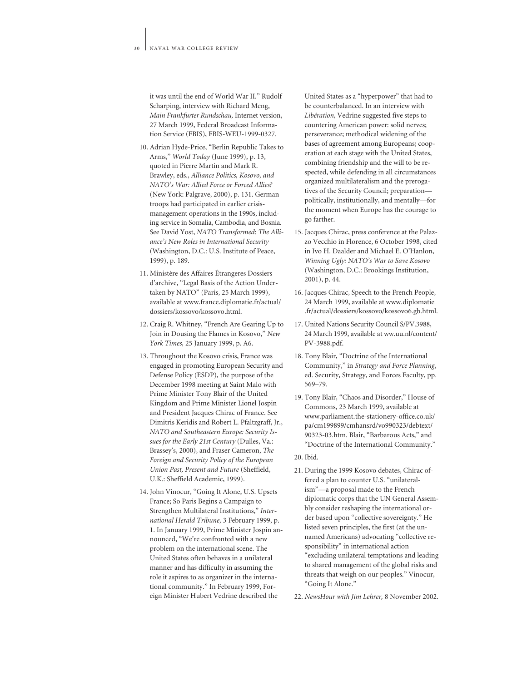it was until the end of World War II." Rudolf Scharping, interview with Richard Meng, *Main Frankfurter Rundschau,* Internet version, 27 March 1999, Federal Broadcast Information Service (FBIS), FBIS-WEU-1999-0327.

- 10. Adrian Hyde-Price, "Berlin Republic Takes to Arms," *World Today* (June 1999), p. 13, quoted in Pierre Martin and Mark R. Brawley, eds., *Alliance Politics, Kosovo, and NATO's War: Allied Force or Forced Allies?* (New York: Palgrave, 2000), p. 131. German troops had participated in earlier crisismanagement operations in the 1990s, including service in Somalia, Cambodia, and Bosnia. See David Yost, *NATO Transformed*: *The Alliance's New Roles in International Security* (Washington, D.C.: U.S. Institute of Peace, 1999), p. 189.
- 11. Ministère des Affaires Étrangeres Dossiers d'archive, "Legal Basis of the Action Undertaken by NATO" (Paris, 25 March 1999), available at www.france.diplomatie.fr/actual/ dossiers/kossovo/kossovo.html.
- 12. Craig R. Whitney, "French Are Gearing Up to Join in Dousing the Flames in Kosovo," *New York Times,* 25 January 1999, p. A6.
- 13. Throughout the Kosovo crisis, France was engaged in promoting European Security and Defense Policy (ESDP), the purpose of the December 1998 meeting at Saint Malo with Prime Minister Tony Blair of the United Kingdom and Prime Minister Lionel Jospin and President Jacques Chirac of France. See Dimitris Keridis and Robert L. Pfaltzgraff, Jr., *NATO and Southeastern Europe: Security Issues for the Early 21st Century* (Dulles, Va.: Brassey's, 2000), and Fraser Cameron, *The Foreign and Security Policy of the European Union Past, Present and Future* (Sheffield, U.K.: Sheffield Academic, 1999).
- 14. John Vinocur, "Going It Alone, U.S. Upsets France; So Paris Begins a Campaign to Strengthen Multilateral Institutions," *International Herald Tribune,* 3 February 1999, p. 1. In January 1999, Prime Minister Jospin announced, "We're confronted with a new problem on the international scene. The United States often behaves in a unilateral manner and has difficulty in assuming the role it aspires to as organizer in the international community." In February 1999, Foreign Minister Hubert Vedrine described the

United States as a "hyperpower" that had to be counterbalanced. In an interview with *Libération,* Vedrine suggested five steps to countering American power: solid nerves; perseverance; methodical widening of the bases of agreement among Europeans; cooperation at each stage with the United States, combining friendship and the will to be respected, while defending in all circumstances organized multilateralism and the prerogatives of the Security Council; preparation politically, institutionally, and mentally—for the moment when Europe has the courage to go farther.

- 15. Jacques Chirac, press conference at the Palazzo Vecchio in Florence, 6 October 1998, cited in Ivo H. Daalder and Michael E. O'Hanlon, *Winning Ugly: NATO's War to Save Kosovo* (Washington, D.C.: Brookings Institution, 2001), p. 44.
- 16. Jacques Chirac, Speech to the French People, 24 March 1999, available at www.diplomatie .fr/actual/dossiers/kossovo/kossovo6.gb.html.
- 17. United Nations Security Council S/PV.3988, 24 March 1999, available at ww.uu.nl/content/ PV-3988.pdf.
- 18. Tony Blair, "Doctrine of the International Community," in *Strategy and Force Planning*, ed. Security, Strategy, and Forces Faculty, pp. 569–79.
- 19. Tony Blair, "Chaos and Disorder," House of Commons, 23 March 1999, available at www.parliament.the-stationery-office.co.uk/ pa/cm199899/cmhansrd/vo990323/debtext/ 90323-03.htm. Blair, "Barbarous Acts," and "Doctrine of the International Community."
- 20. Ibid.
- 21. During the 1999 Kosovo debates, Chirac offered a plan to counter U.S. "unilateralism"—a proposal made to the French diplomatic corps that the UN General Assembly consider reshaping the international order based upon "collective sovereignty." He listed seven principles, the first (at the unnamed Americans) advocating "collective responsibility" in international action "excluding unilateral temptations and leading to shared management of the global risks and threats that weigh on our peoples." Vinocur, "Going It Alone."
- 22. *NewsHour with Jim Lehrer,* 8 November 2002.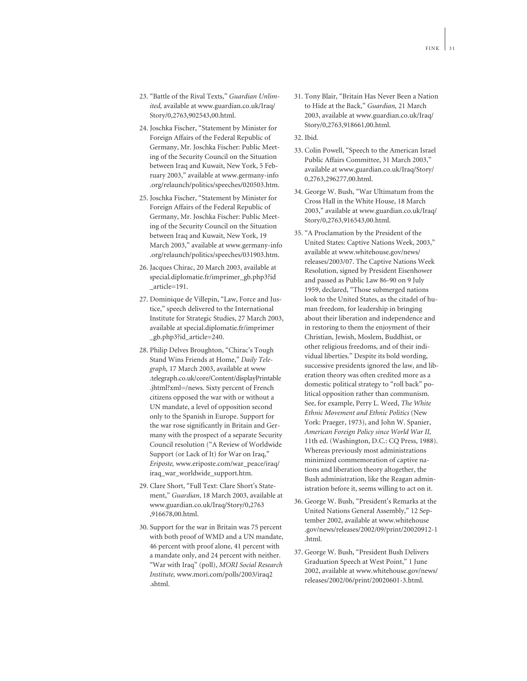- 23. "Battle of the Rival Texts," *Guardian Unlimited,* available at www.guardian.co.uk/Iraq/ Story/0,2763,902543,00.html.
- 24. Joschka Fischer, "Statement by Minister for Foreign Affairs of the Federal Republic of Germany, Mr. Joschka Fischer: Public Meeting of the Security Council on the Situation between Iraq and Kuwait, New York, 5 February 2003," available at www.germany-info .org/relaunch/politics/speeches/020503.htm.
- 25. Joschka Fischer, "Statement by Minister for Foreign Affairs of the Federal Republic of Germany, Mr. Joschka Fischer: Public Meeting of the Security Council on the Situation between Iraq and Kuwait, New York, 19 March 2003," available at www.germany-info .org/relaunch/politics/speeches/031903.htm.
- 26. Jacques Chirac, 20 March 2003, available at special.diplomatie.fr/imprimer\_gb.php3?id \_article=191.
- 27. Dominique de Villepin, "Law, Force and Justice," speech delivered to the International Institute for Strategic Studies, 27 March 2003, available at special.diplomatie.fr/imprimer \_gb.php3?id\_article=240.
- 28. Philip Delves Broughton, "Chirac's Tough Stand Wins Friends at Home," *Daily Telegraph,* 17 March 2003, available at www .telegraph.co.uk/core/Content/displayPrintable .jhtml?xml=/news. Sixty percent of French citizens opposed the war with or without a UN mandate, a level of opposition second only to the Spanish in Europe. Support for the war rose significantly in Britain and Germany with the prospect of a separate Security Council resolution ("A Review of Worldwide Support (or Lack of It) for War on Iraq," *Eriposte,* www.eriposte.com/war\_peace/iraq/ iraq\_war\_worldwide\_support.htm.
- 29. Clare Short, "Full Text: Clare Short's Statement," *Guardian*, 18 March 2003, available at www.guardian.co.uk/Iraq/Story/0,2763 ,916678,00.html.
- 30. Support for the war in Britain was 75 percent with both proof of WMD and a UN mandate, 46 percent with proof alone, 41 percent with a mandate only, and 24 percent with neither. "War with Iraq" (poll), *MORI Social Research Institute,* www.mori.com/polls/2003/iraq2 .shtml.
- 31. Tony Blair, "Britain Has Never Been a Nation to Hide at the Back," *Guardian,* 21 March 2003, available at www.guardian.co.uk/Iraq/ Story/0,2763,918661,00.html.
- 32. Ibid.
- 33. Colin Powell, "Speech to the American Israel Public Affairs Committee, 31 March 2003," available at www.guardian.co.uk/Iraq/Story/ 0,2763,296277,00.html.
- 34. George W. Bush, "War Ultimatum from the Cross Hall in the White House, 18 March 2003," available at www.guardian.co.uk/Iraq/ Story/0,2763,916543,00.html.
- 35. "A Proclamation by the President of the United States: Captive Nations Week, 2003," available at www.whitehouse.gov/news/ releases/2003/07. The Captive Nations Week Resolution, signed by President Eisenhower and passed as Public Law 86-90 on 9 July 1959, declared, "Those submerged nations look to the United States, as the citadel of human freedom, for leadership in bringing about their liberation and independence and in restoring to them the enjoyment of their Christian, Jewish, Moslem, Buddhist, or other religious freedoms, and of their individual liberties." Despite its bold wording, successive presidents ignored the law, and liberation theory was often credited more as a domestic political strategy to "roll back" political opposition rather than communism. See, for example, Perry L. Weed, *The White Ethnic Movement and Ethnic Politics* (New York: Praeger, 1973), and John W. Spanier, *American Foreign Policy since World War II,* 11th ed. (Washington, D.C.: CQ Press, 1988). Whereas previously most administrations minimized commemoration of captive nations and liberation theory altogether, the Bush administration, like the Reagan administration before it, seems willing to act on it.
- 36. George W. Bush, "President's Remarks at the United Nations General Assembly," 12 September 2002, available at www.whitehouse .gov/news/releases/2002/09/print/20020912-1 .html.
- 37. George W. Bush, "President Bush Delivers Graduation Speech at West Point," 1 June 2002, available at www.whitehouse.gov/news/ releases/2002/06/print/20020601-3.html.